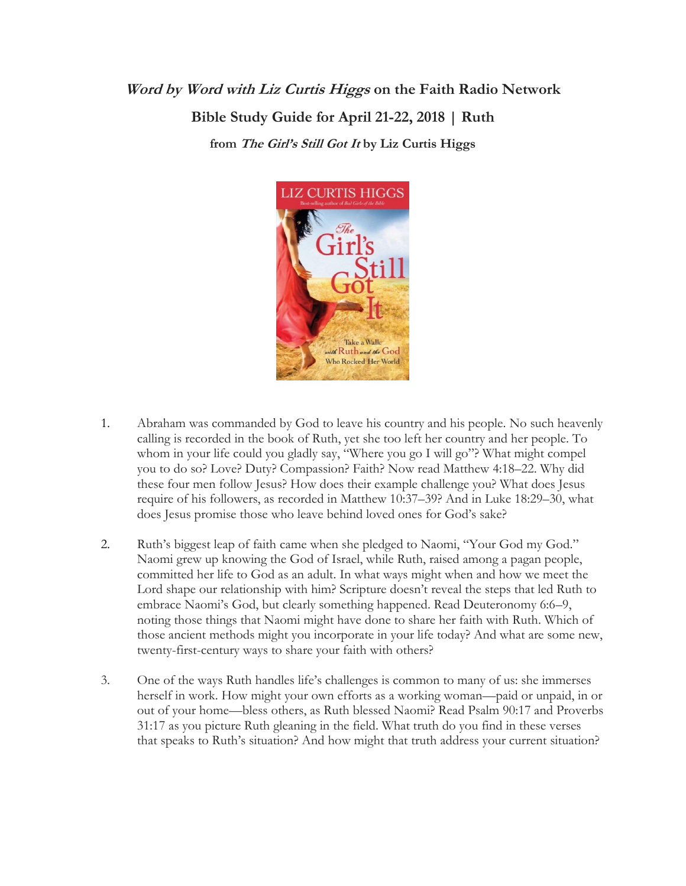## **Word by Word with Liz Curtis Higgs on the Faith Radio Network Bible Study Guide for April 21-22, 2018 | Ruth from The Girl's Still Got It by Liz Curtis Higgs**



- 1. Abraham was commanded by God to leave his country and his people. No such heavenly calling is recorded in the book of Ruth, yet she too left her country and her people. To whom in your life could you gladly say, "Where you go I will go"? What might compel you to do so? Love? Duty? Compassion? Faith? Now read Matthew 4:18–22. Why did these four men follow Jesus? How does their example challenge you? What does Jesus require of his followers, as recorded in Matthew 10:37–39? And in Luke 18:29–30, what does Jesus promise those who leave behind loved ones for God's sake?
- 2. Ruth's biggest leap of faith came when she pledged to Naomi, "Your God my God." Naomi grew up knowing the God of Israel, while Ruth, raised among a pagan people, committed her life to God as an adult. In what ways might when and how we meet the Lord shape our relationship with him? Scripture doesn't reveal the steps that led Ruth to embrace Naomi's God, but clearly something happened. Read Deuteronomy 6:6–9, noting those things that Naomi might have done to share her faith with Ruth. Which of those ancient methods might you incorporate in your life today? And what are some new, twenty-first-century ways to share your faith with others?
- 3. One of the ways Ruth handles life's challenges is common to many of us: she immerses herself in work. How might your own efforts as a working woman—paid or unpaid, in or out of your home—bless others, as Ruth blessed Naomi? Read Psalm 90:17 and Proverbs 31:17 as you picture Ruth gleaning in the field. What truth do you find in these verses that speaks to Ruth's situation? And how might that truth address your current situation?